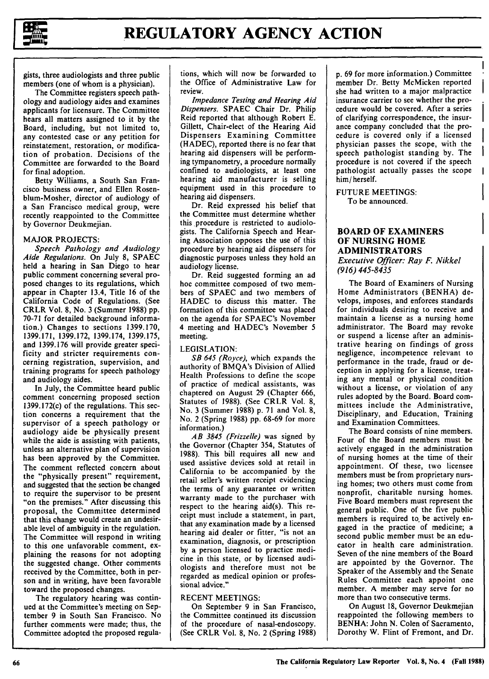

gists, three audiologists and three public members (one of whom is a physician).

The Committee registers speech pathology and audiology aides and examines applicants for licensure. The Committee hears all matters assigned to it by the Board, including, but not limited to, any contested case or any petition for reinstatement, restoration, or modification of probation. Decisions of the Committee are forwarded to the Board for final adoption.

Betty Williams, a South San Francisco business owner, and Ellen Rosenblum-Mosher, director of audiology of a San Francisco medical group, were recently reappointed to the Committee by Governor Deukmejian.

### MAJOR PROJECTS:

*Speech Pathology and Audiology Aide Regulations.* On July 8, SPAEC held a hearing in San Diego to hear public comment concerning several proposed changes to its regulations, which appear in Chapter 13.4, Title 16 of the California Code of Regulations. (See CRLR Vol. 8, No. 3 (Summer 1988) pp. 70-71 for detailed background information.) Changes to sections 1399.170, 1399.171, 1399.172, 1399.174, 1399.175, and 1399.176 will provide greater specificity and stricter requirements concerning registration, supervision, and training programs for speech pathology and audiology aides.

In July, the Committee heard public comment concerning proposed section 1399.172(c) of the regulations. This section concerns a requirement that the supervisor of a speech pathology or audiology aide be physically present while the aide is assisting with patients, unless an alternative plan of supervision has been approved by the Committee. The comment reflected concern about the "physically present" requirement, and suggested that the section be changed to require the supervisor to be present "on the premises." After discussing this proposal, the Committee determined that this change would create an undesirable level of ambiguity in the regulation. The Committee will respond in writing to this one unfavorable comment, explaining the reasons for not adopting the suggested change. Other comments received by the Committee, both in person and in writing, have been favorable toward the proposed changes.

The regulatory hearing was continued at the Committee's meeting on September 9 in South San Francisco. No further comments were made; thus, the Committee adopted the proposed regulations, which will now be forwarded to the Office of Administrative Law for review.

*Impedance Testing and Hearing Aid Dispensers.* SPAEC Chair Dr. Philip Reid reported that although Robert E. Gillett, Chair-elect of the Hearing Aid Dispensers Examining Committee (HADEC), reported there is no fear that hearing aid dispensers will be performing tympanometry, a procedure normally confined to audiologists, at least one hearing aid manufacturer is selling equipment used in this procedure to hearing aid dispensers.

Dr. Reid expressed his belief that the Committee must determine whether this procedure is restricted to audiologists. The California Speech and Hearing Association opposes the use of this procedure by hearing aid dispensers for diagnostic purposes unless they hold an audiology license.

Dr. Reid suggested forming an ad hoc committee composed of two members of SPAEC and two members of HADEC to discuss this matter. The formation of this committee was placed on the agenda for SPAEC's November 4 meeting and HADEC's November 5 meeting.

# LEGISLATION:

*SB 645 (Royce),* which expands the authority of BMQA's Division of Allied Health Professions to define the scope of practice of medical assistants, was chaptered on August 29 (Chapter 666, Statutes of 1988). (See CRLR Vol. 8, No. 3 (Summer 1988) p. 71 and Vol. 8, No. 2 (Spring 1988) pp. 68-69 for more information.)

*AB 3845 (Frizzelle)* was signed by the Governor (Chapter 354, Statutes of 1988). This bill requires all new and used assistive devices sold at retail in California to be accompanied by the retail seller's written receipt evidencing the terms of any guarantee or written warranty made to the purchaser with respect to the hearing aid(s). This receipt must include a statement, in part, that any examination made by a licensed hearing aid dealer or fitter, "is not an examination, diagnosis, or prescription by a person licensed to practice medicine in this state, or by licensed audiologists and therefore must not be regarded as medical opinion or professional advice."

# RECENT MEETINGS:

On September 9 in San Francisco, the Committee continued its discussion of the procedure of nasal-endoscopy. (See CRLR Vol. 8, No. 2 (Spring 1988) p. 69 for more information.) Committee member Dr. Betty McMicken reported she had written to a major malpractice insurance carrier to see whether the procedure would be covered. After a series of clarifying correspondence, the insurance company concluded that the procedure is covered only if a licensed physician passes the scope, with the speech pathologist standing by. The procedure is not covered if the speech pathologist actually passes the scope him/herself.

FUTURE MEETINGS: To be announced.

# **BOARD OF EXAMINERS OF NURSING HOME ADMINISTRATORS**

*Executive Officer: Ray F. Nikkel (916) 445-8435*

The Board of Examiners of Nursing Home Administrators (BENHA) develops, imposes, and enforces standards for individuals desiring to receive and maintain a license as a nursing home administrator. The Board may revoke or suspend a license after an administrative hearing on findings of gross negligence, incompetence relevant to performance in the trade, fraud or deception in applying for a license, treating any mental or physical condition without a license, or violation of any rules adopted by the Board. Board committees include the Administrative, Disciplinary, and Education, Training and Examination Committees.

The Board consists of nine members. Four of the Board members must be actively engaged in the administration of nursing homes at the time of their appointment. Of these, two licensee members must be from proprietary nursing homes; two others must come from nonprofit, charitable nursing homes. Five Board members must represent the general public. One of the five public members is required to. be actively engaged in the practice of medicine; a second public member must be an educator in health care administration. Seven of the nine members of the Board are appointed by the Governor. The Speaker of the Assembly and the Senate Rules Committee each appoint one member. A member may serve for no more than two consecutive terms.

On August 18, Governor Deukmejian reappointed the following members to BENHA: John N. Colen of Sacramento, Dorothy W. Flint of Fremont, and Dr.